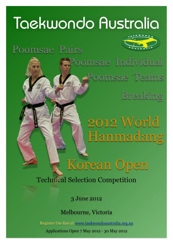# Taekwondo Australia

## Poomsae Pairs



Poomsae Teams Poomsae Individual Breaking

> 2012 World Hanmadang

Korean Open

Technical Selection Competition

3 June 2012

Melbourne, Victoria

Register On-line @ [www.taekwondoaustralia.org.au](http://www.taekwondoaustralia.com.au)

Applications Open 7 May 2012 - 30 May 2012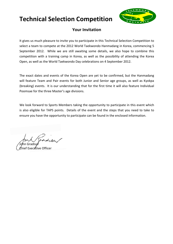

#### **Your Invitation**

It gives us much pleasure to invite you to participate in this Technical Selection Competition to select a team to compete at the 2012 World Taekwondo Hanmadang in Korea, commencing 5 September 2012. While we are still awaiting some details, we also hope to combine this competition with a training camp in Korea, as well as the possibility of attending the Korea Open, as well as the World Taekwondo Day celebrations on 4 September 2012.

The exact dates and events of the Korea Open are yet to be confirmed, but the Hanmadang will feature Team and Pair events for both Junior and Senior age groups, as well as Kyokpa (breaking) events. It is our understanding that for the first time it will also feature Individual Poomsae for the three Master's age divisions.

We look forward to Sports Members taking the opportunity to participate in this event which is also eligible for TAPS points. Details of the event and the steps that you need to take to ensure you have the opportunity to participate can be found in the enclosed information.

John Gradisar f Executive Officer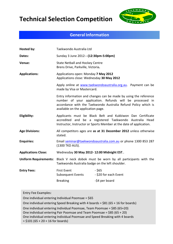

#### **General Information**

| Hosted by:                   | Taekwondo Australia Ltd                                                                                                                                                                                                              |  |  |  |  |
|------------------------------|--------------------------------------------------------------------------------------------------------------------------------------------------------------------------------------------------------------------------------------|--|--|--|--|
| Dates:                       | Sunday 3 June 2012---(12:30pm-5:00pm)                                                                                                                                                                                                |  |  |  |  |
| Venue:                       | <b>State Netball and Hockey Centre</b><br>Brens Drive, Parkville, Victoria.                                                                                                                                                          |  |  |  |  |
| <b>Applications:</b>         | Applications open: Monday 7 May 2012<br>Applications close: Wednesday 30 May 2012                                                                                                                                                    |  |  |  |  |
|                              | Apply online at www.taekwondoaustralia.org.au. Payment can be<br>made by Visa or Mastercard.                                                                                                                                         |  |  |  |  |
|                              | Entry information and changes can be made by using the reference<br>number of your application. Refunds will be processed in<br>accordance with the Taekwondo Australia Refund Policy which is<br>available on the application page. |  |  |  |  |
| Eligibility:                 | Applicants must be Black Belt and Kukkiwon Dan Certificate<br>accredited and be a registered Taekwondo Australia Head<br>Instructor, Instructor or Sports Member at the date of application.                                         |  |  |  |  |
| <b>Age Divisions:</b>        | All competitors ages are as at 31 December 2012 unless otherwise<br>stated.                                                                                                                                                          |  |  |  |  |
| <b>Enquiries:</b>            | Email seminar@taekwondoaustralia.com.au or phone 1300 853 287<br>(1300 TKD AUS).                                                                                                                                                     |  |  |  |  |
| <b>Applications Close:</b>   | Wednesday 30 May 2012- 12:00 Midnight EST                                                                                                                                                                                            |  |  |  |  |
| <b>Uniform Requirements:</b> | Black V neck dobok must be worn by all participants with the<br>Taekwondo Australia badge on the left shoulder.                                                                                                                      |  |  |  |  |
| <b>Entry Fees:</b>           | $-$ \$65<br><b>First Event</b><br><b>Subsequent Events</b><br>- \$20 for each Event<br>-\$4 per board<br><b>Breaking</b>                                                                                                             |  |  |  |  |

Entry Fee Examples:

One individual entering Individual Poomsae =  $$65$ 

One individual entering Speed Breaking with 4 boards =  $$81$  (65 + 16 for boards)

One individual entering Individual Poomsae, Team Poomsae =  $$85 (65+20)$ 

One individual entering Pair Poomsae and Team Poomsae =  $$85 (65 + 20)$ 

One individual entering Individual Poomsae and Speed Breaking with 4 boards

 $= $101 (65 + 20 + 16$  for boards)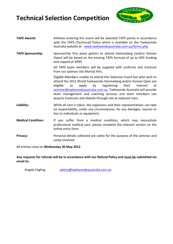

| <b>TAPS Awards</b>        | Athletes entering this event will be awarded TAPS points in accordance<br>with the TAPS (Technical) Policy which is available on the Taekwondo<br>Australia website at: www.taekwondoaustralia.com.au/forms.php                                                                                                                                                                                                            |  |  |  |  |  |
|---------------------------|----------------------------------------------------------------------------------------------------------------------------------------------------------------------------------------------------------------------------------------------------------------------------------------------------------------------------------------------------------------------------------------------------------------------------|--|--|--|--|--|
| <b>TAPS Sponsorship</b>   | Sponsorship first place getters to attend Hanmadang (and/or Korean<br>Open) will be based on the existing TAPS formula of up to 50% funding<br>and capped at \$900.                                                                                                                                                                                                                                                        |  |  |  |  |  |
|                           | All TAPS team members will be supplied with uniforms and tracksuit<br>from our sponsor Jols Martial Arts.                                                                                                                                                                                                                                                                                                                  |  |  |  |  |  |
|                           | Eligible Members unable to attend this Selection Event but who wish to<br>attend the 2012 World Taekwondo Hanmadang and/or Korean Open are<br>eligible<br>by<br>registering<br>to<br>apply<br>their<br>interest<br>at<br>seminar@taekwondoaustralia.com.au. Taekwondo Australia will provide<br>team management and coaching services and team members can<br>acquire tracksuits and doboks through Jols at reduced costs. |  |  |  |  |  |
| Liability:                | While all care is taken, the organisers and their representatives can take<br>no responsibility, under any circumstances, for any damages, injuries or<br>loss to individuals or equipment.                                                                                                                                                                                                                                |  |  |  |  |  |
| <b>Medical Condition:</b> | If you suffer from a medical condition, which may necessitate<br>professional medical care, please complete the relevant section on the<br>online entry form.                                                                                                                                                                                                                                                              |  |  |  |  |  |
| <b>Privacy:</b>           | Personal details collected are solely for the purpose of the seminar and<br>camp involved.                                                                                                                                                                                                                                                                                                                                 |  |  |  |  |  |

All entries close on Wednesday 30 May 2012

Any requests for refunds will be in accordance with our Refund Policy and must be submitted via **email to:**

Angela Eagling admin@taekwondoaustralia.com.au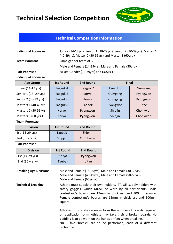

### **Technical Competition Information**

| <b>Individual Poomsae</b> | Junior (14-17yrs), Senior 1 (18-29yrs), Senior 2 (30-39yrs), Master 1<br>(40-49yrs), Master 2 (50-59yrs) and Master 3 (60yrs +) |
|---------------------------|---------------------------------------------------------------------------------------------------------------------------------|
| <b>Team Poomsae</b>       | Same gender team of 3                                                                                                           |
|                           | Male and Female (14-29yrs), Male and Female (30yrs +),                                                                          |
| <b>Pair Poomsae</b>       | Mixed Gender (14-29yrs) and (30yrs +)                                                                                           |
|                           |                                                                                                                                 |

#### **Individual Poomsae**

| <b>Age Group</b>              | <b>1st Round</b> | 2nd Round | Final    |          |  |
|-------------------------------|------------------|-----------|----------|----------|--|
| Junior (14-17 yrs)            | Taeguk 4         | Taeguk 7  | Taeguk 8 | Gumgang  |  |
| Senior 1 (18-29 yrs)          | Taeguk 6         | Koryo     | Gumgang  | Pyongwon |  |
| Senior 2 (30-39 yrs)          | Taeguk 6         | Koryo     | Gumgang  | Pyongwon |  |
| Masters 1 (40-49 yrs)         | Taeguk 8         | Taebek    | Pyongwon | Jitae    |  |
| Masters 2 (50-59 yrs)         | Koryo            | Pyongwon  | Shipjin  | Chonkwon |  |
| Masters $3(60 \text{ yrs +})$ | Koryo            | Pyongwon  | Shipjin  | Chonkwon |  |

#### **Team Poomsae**

| <b>Division</b>          | <b>1st Round</b> | 2nd Round |
|--------------------------|------------------|-----------|
| 1st (14-29 yrs)          | <b>Taebek</b>    | Shipjin   |
| 2nd $(30 \text{ yrs +})$ | Shipjin          | Chonkwon  |

#### **Pair Poomsae**

| <b>Division</b>   | 1st Round | 2nd Round |
|-------------------|-----------|-----------|
| 1st (14-29 yrs)   | Koryo     | Pyongwon  |
| 2nd (30 yrs $+$ ) | Taebek    | Jitae     |

| <b>Breaking Age Divisions</b> | Male and Female (18-29yrs), Male and Female (30-39yrs),<br>Male and Female (40-49yrs), Male and Female (50-59yrs),<br>Male and Female $(60\gamma s +)$                                                                                                                     |
|-------------------------------|----------------------------------------------------------------------------------------------------------------------------------------------------------------------------------------------------------------------------------------------------------------------------|
| <b>Technical Breaking</b>     | Athlete must supply their own holders. TA will supply holders with<br>safety goggles, which MUST be worn by all participants. Male<br>contestant's boards are 19mm in thickness and 300mm square.<br>Female contestant's boards are 15mm in thickness and 300mm<br>square. |
|                               | Athletes must state on entry form the number of boards required<br>on application form. Athlete may take their unbroken boards. No<br>padding is to be worn on the hands or feet when breaking.<br>NB - five 'breaks' are to be performed, each of a different             |

technique.